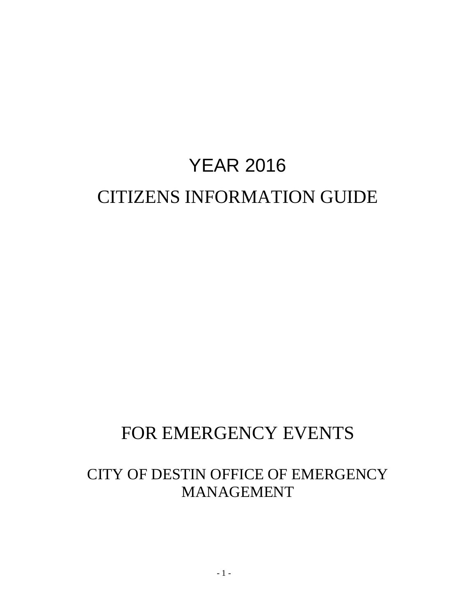# YEAR 2016 CITIZENS INFORMATION GUIDE

# FOR EMERGENCY EVENTS

# CITY OF DESTIN OFFICE OF EMERGENCY MANAGEMENT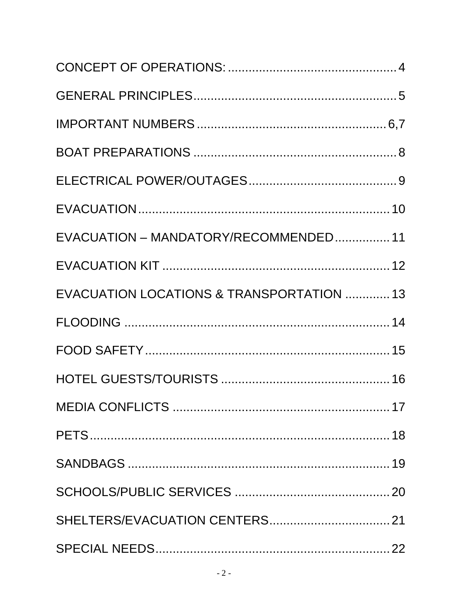| EVACUATION - MANDATORY/RECOMMENDED 11    |  |
|------------------------------------------|--|
|                                          |  |
| EVACUATION LOCATIONS & TRANSPORTATION 13 |  |
|                                          |  |
|                                          |  |
|                                          |  |
|                                          |  |
|                                          |  |
|                                          |  |
|                                          |  |
|                                          |  |
|                                          |  |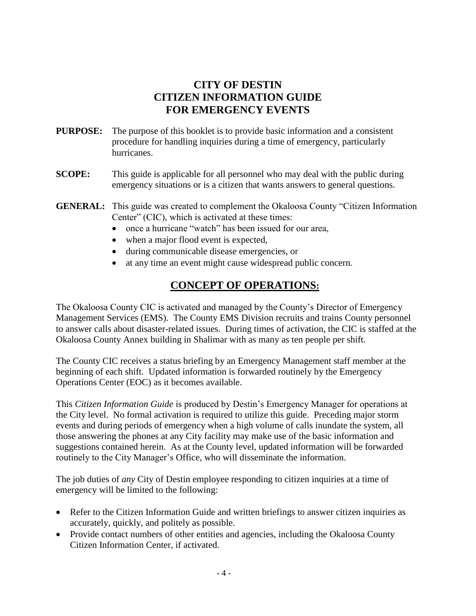### **CITY OF DESTIN CITIZEN INFORMATION GUIDE FOR EMERGENCY EVENTS**

- **PURPOSE:** The purpose of this booklet is to provide basic information and a consistent procedure for handling inquiries during a time of emergency, particularly hurricanes.
- **SCOPE:** This guide is applicable for all personnel who may deal with the public during emergency situations or is a citizen that wants answers to general questions.
- **GENERAL:** This guide was created to complement the Okaloosa County "Citizen Information Center" (CIC), which is activated at these times:
	- once a hurricane "watch" has been issued for our area,
	- when a major flood event is expected,
	- during communicable disease emergencies, or
	- at any time an event might cause widespread public concern.

### **CONCEPT OF OPERATIONS:**

The Okaloosa County CIC is activated and managed by the County's Director of Emergency Management Services (EMS). The County EMS Division recruits and trains County personnel to answer calls about disaster-related issues. During times of activation, the CIC is staffed at the Okaloosa County Annex building in Shalimar with as many as ten people per shift.

The County CIC receives a status briefing by an Emergency Management staff member at the beginning of each shift. Updated information is forwarded routinely by the Emergency Operations Center (EOC) as it becomes available.

This *Citizen Information Guide* is produced by Destin's Emergency Manager for operations at the City level. No formal activation is required to utilize this guide. Preceding major storm events and during periods of emergency when a high volume of calls inundate the system, all those answering the phones at any City facility may make use of the basic information and suggestions contained herein. As at the County level, updated information will be forwarded routinely to the City Manager's Office, who will disseminate the information.

The job duties of *any* City of Destin employee responding to citizen inquiries at a time of emergency will be limited to the following:

- Refer to the Citizen Information Guide and written briefings to answer citizen inquiries as accurately, quickly, and politely as possible.
- Provide contact numbers of other entities and agencies, including the Okaloosa County Citizen Information Center, if activated.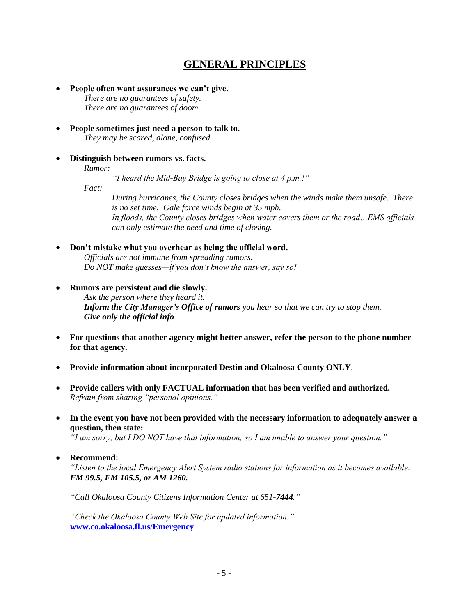### **GENERAL PRINCIPLES**

- **People often want assurances we can't give.** *There are no guarantees of safety. There are no guarantees of doom.*
- **People sometimes just need a person to talk to.** *They may be scared, alone, confused.*
- **Distinguish between rumors vs. facts.** *Rumor:*

*"I heard the Mid-Bay Bridge is going to close at 4 p.m.!"*

*Fact:* 

*During hurricanes, the County closes bridges when the winds make them unsafe. There is no set time. Gale force winds begin at 35 mph. In floods, the County closes bridges when water covers them or the road…EMS officials can only estimate the need and time of closing.*

**Don't mistake what you overhear as being the official word.**

*Officials are not immune from spreading rumors. Do NOT make guesses—if you don't know the answer, say so!*

- **Rumors are persistent and die slowly.** *Ask the person where they heard it. Inform the City Manager's Office of rumors you hear so that we can try to stop them. Give only the official info.*
- **For questions that another agency might better answer, refer the person to the phone number for that agency.**
- **Provide information about incorporated Destin and Okaloosa County ONLY**.
- **Provide callers with only FACTUAL information that has been verified and authorized.** *Refrain from sharing "personal opinions."*
- **In the event you have not been provided with the necessary information to adequately answer a question, then state:**

*"I am sorry, but I DO NOT have that information; so I am unable to answer your question."*

**Recommend:**

*"Listen to the local Emergency Alert System radio stations for information as it becomes available: FM 99.5, FM 105.5, or AM 1260.*

*"Call Okaloosa County Citizens Information Center at 651-7444."*

*"Check the Okaloosa County Web Site for updated information."*  **[www.co.okaloosa.fl.us/Emergency](http://www.co.okaloosa.fl.us/Emergency)**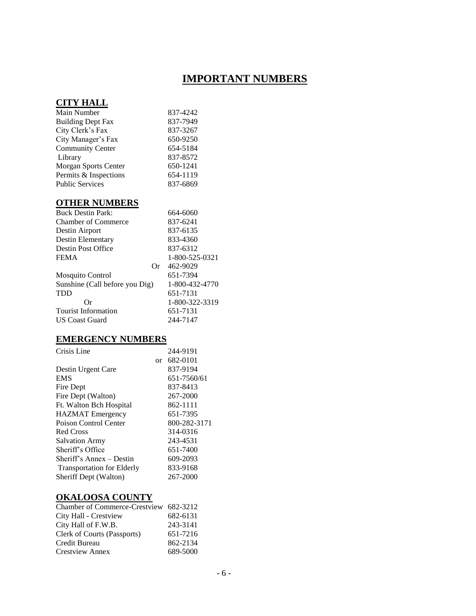# **IMPORTANT NUMBERS**

#### **CITY HALL**

| Main Number              | 837-4242 |
|--------------------------|----------|
| <b>Building Dept Fax</b> | 837-7949 |
| City Clerk's Fax         | 837-3267 |
| City Manager's Fax       | 650-9250 |
| <b>Community Center</b>  | 654-5184 |
| Library                  | 837-8572 |
| Morgan Sports Center     | 650-1241 |
| Permits & Inspections    | 654-1119 |
| <b>Public Services</b>   | 837-6869 |

### **OTHER NUMBERS**

| <b>Buck Destin Park:</b>       | 664-6060       |
|--------------------------------|----------------|
| <b>Chamber of Commerce</b>     | 837-6241       |
| Destin Airport                 | 837-6135       |
| Destin Elementary              | 833-4360       |
| Destin Post Office             | 837-6312       |
| <b>FEMA</b>                    | 1-800-525-0321 |
| Or                             | 462-9029       |
| <b>Mosquito Control</b>        | 651-7394       |
| Sunshine (Call before you Dig) | 1-800-432-4770 |
| <b>TDD</b>                     | 651-7131       |
| Or                             | 1-800-322-3319 |
| <b>Tourist Information</b>     | 651-7131       |
| <b>US Coast Guard</b>          | 244-7147       |
|                                |                |

### **EMERGENCY NUMBERS**

| Crisis Line                       |    | 244-9191     |
|-----------------------------------|----|--------------|
|                                   | or | 682-0101     |
| Destin Urgent Care                |    | 837-9194     |
| <b>EMS</b>                        |    | 651-7560/61  |
| Fire Dept                         |    | 837-8413     |
| Fire Dept (Walton)                |    | 267-2000     |
| Ft. Walton Bch Hospital           |    | 862-1111     |
| <b>HAZMAT</b> Emergency           |    | 651-7395     |
| Poison Control Center             |    | 800-282-3171 |
| Red Cross                         |    | 314-0316     |
| <b>Salvation Army</b>             |    | 243-4531     |
| Sheriff's Office                  |    | 651-7400     |
| Sheriff's Annex – Destin          |    | 609-2093     |
| <b>Transportation for Elderly</b> |    | 833-9168     |
| Sheriff Dept (Walton)             |    | 267-2000     |

### **OKALOOSA COUNTY**

| Chamber of Commerce-Crestview 682-3212 |          |
|----------------------------------------|----------|
| City Hall - Crestview                  | 682-6131 |
| City Hall of F.W.B.                    | 243-3141 |
| Clerk of Courts (Passports)            | 651-7216 |
| Credit Bureau                          | 862-2134 |
| Crestview Annex                        | 689-5000 |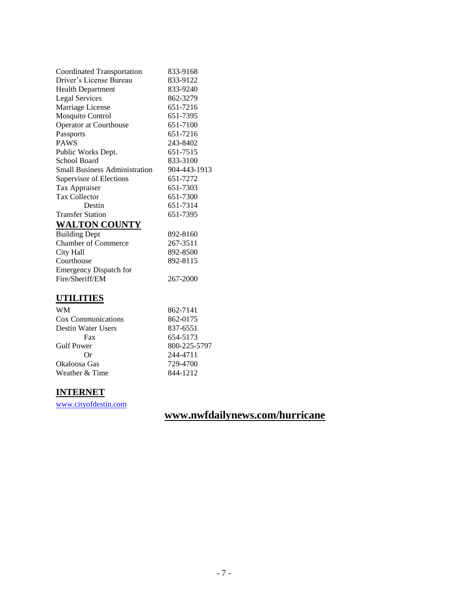| Coordinated Transportation           | 833-9168     |
|--------------------------------------|--------------|
| Driver's License Bureau              | 833-9122     |
| <b>Health Department</b>             | 833-9240     |
| <b>Legal Services</b>                | 862-3279     |
| Marriage License                     | 651-7216     |
| <b>Mosquito Control</b>              | 651-7395     |
| Operator at Courthouse               | 651-7100     |
| Passports                            | 651-7216     |
| <b>PAWS</b>                          | 243-8402     |
| Public Works Dept.                   | 651-7515     |
| School Board                         | 833-3100     |
| <b>Small Business Administration</b> | 904-443-1913 |
| Supervisor of Elections              | 651-7272     |
| Tax Appraiser                        | 651-7303     |
| <b>Tax Collector</b>                 | 651-7300     |
| Destin                               | 651-7314     |
| <b>Transfer Station</b>              | 651-7395     |
| <b>WALTON COUNTY</b>                 |              |
| <b>Building Dept</b>                 | 892-8160     |
| <b>Chamber of Commerce</b>           | 267-3511     |
| City Hall                            | 892-8500     |
| Courthouse                           | 892-8115     |
| <b>Emergency Dispatch for</b>        |              |
| Fire/Sheriff/EM                      | 267-2000     |
| UTILITIES                            |              |

#### **UTILITIES**

| <b>WM</b>          | 862-7141     |
|--------------------|--------------|
| Cox Communications | 862-0175     |
| Destin Water Users | 837-6551     |
| Fax                | 654-5173     |
| <b>Gulf Power</b>  | 800-225-5797 |
| Or                 | 244-4711     |
| Okaloosa Gas       | 729-4700     |
| Weather & Time     | 844-1212     |

### **INTERNET**

[www.cityofdestin.com](http://www.cityofdestin.com/)

# **www.nwfdailynews.com/hurricane**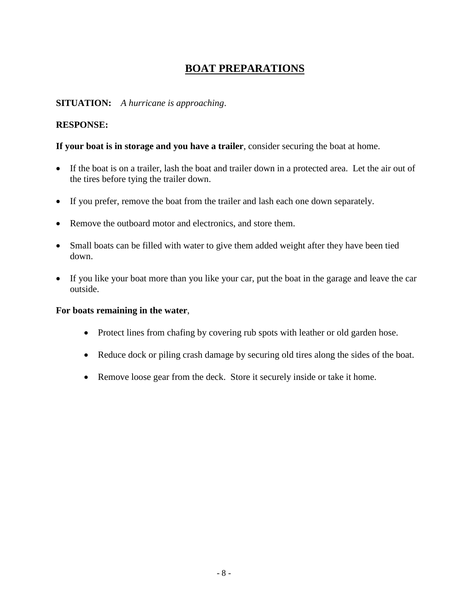### **BOAT PREPARATIONS**

### **SITUATION:** *A hurricane is approaching*.

### **RESPONSE:**

**If your boat is in storage and you have a trailer**, consider securing the boat at home.

- If the boat is on a trailer, lash the boat and trailer down in a protected area. Let the air out of the tires before tying the trailer down.
- If you prefer, remove the boat from the trailer and lash each one down separately.
- Remove the outboard motor and electronics, and store them.
- Small boats can be filled with water to give them added weight after they have been tied down.
- If you like your boat more than you like your car, put the boat in the garage and leave the car outside.

#### **For boats remaining in the water**,

- Protect lines from chafing by covering rub spots with leather or old garden hose.
- Reduce dock or piling crash damage by securing old tires along the sides of the boat.
- Remove loose gear from the deck. Store it securely inside or take it home.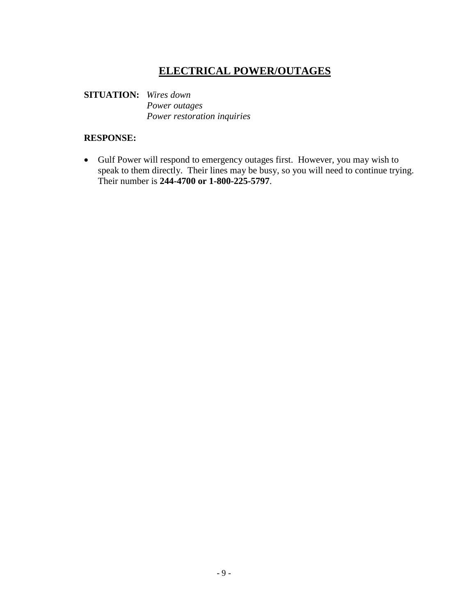# **ELECTRICAL POWER/OUTAGES**

### **SITUATION:** *Wires down Power outages Power restoration inquiries*

### **RESPONSE:**

 Gulf Power will respond to emergency outages first. However, you may wish to speak to them directly. Their lines may be busy, so you will need to continue trying. Their number is **244-4700 or 1-800-225-5797**.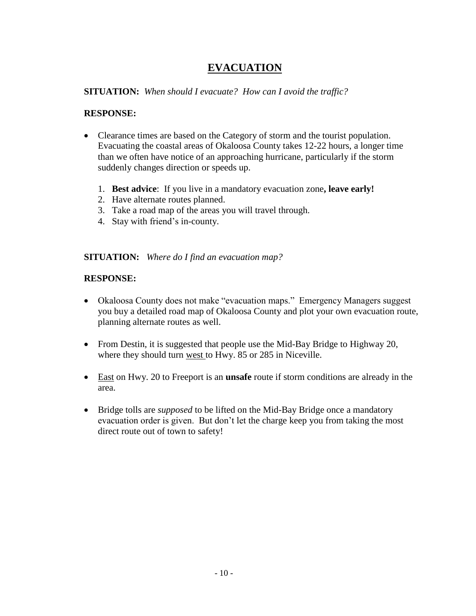# **EVACUATION**

### **SITUATION:** *When should I evacuate? How can I avoid the traffic?*

### **RESPONSE:**

- Clearance times are based on the Category of storm and the tourist population. Evacuating the coastal areas of Okaloosa County takes 12-22 hours, a longer time than we often have notice of an approaching hurricane, particularly if the storm suddenly changes direction or speeds up.
	- 1. **Best advice**: If you live in a mandatory evacuation zone**, leave early!**
	- 2. Have alternate routes planned.
	- 3. Take a road map of the areas you will travel through.
	- 4. Stay with friend's in-county.

### **SITUATION:** *Where do I find an evacuation map?*

### **RESPONSE:**

- Okaloosa County does not make "evacuation maps." Emergency Managers suggest you buy a detailed road map of Okaloosa County and plot your own evacuation route, planning alternate routes as well.
- From Destin, it is suggested that people use the Mid-Bay Bridge to Highway 20, where they should turn west to Hwy. 85 or 285 in Niceville.
- East on Hwy. 20 to Freeport is an **unsafe** route if storm conditions are already in the area.
- Bridge tolls are *supposed* to be lifted on the Mid-Bay Bridge once a mandatory evacuation order is given. But don't let the charge keep you from taking the most direct route out of town to safety!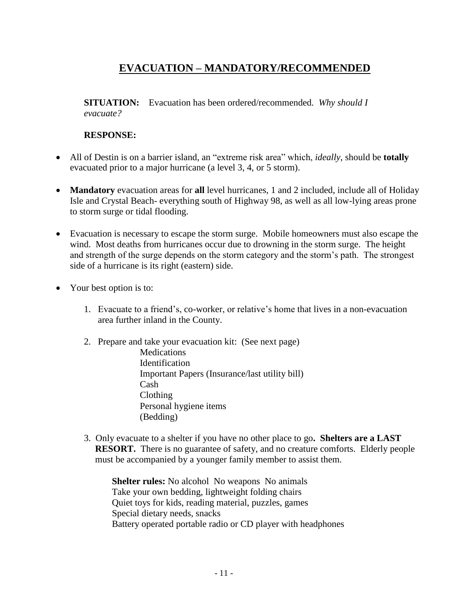# **EVACUATION – MANDATORY/RECOMMENDED**

**SITUATION:** Evacuation has been ordered/recommended. *Why should I evacuate?*

### **RESPONSE:**

- All of Destin is on a barrier island, an "extreme risk area" which, *ideally*, should be **totally**  evacuated prior to a major hurricane (a level 3, 4, or 5 storm).
- **Mandatory** evacuation areas for **all** level hurricanes, 1 and 2 included, include all of Holiday Isle and Crystal Beach- everything south of Highway 98, as well as all low-lying areas prone to storm surge or tidal flooding.
- Evacuation is necessary to escape the storm surge. Mobile homeowners must also escape the wind. Most deaths from hurricanes occur due to drowning in the storm surge. The height and strength of the surge depends on the storm category and the storm's path. The strongest side of a hurricane is its right (eastern) side.
- Your best option is to:
	- 1. Evacuate to a friend's, co-worker, or relative's home that lives in a non-evacuation area further inland in the County.
	- 2. Prepare and take your evacuation kit: (See next page)
		- **Medications** Identification Important Papers (Insurance/last utility bill) Cash Clothing Personal hygiene items (Bedding)
	- 3. Only evacuate to a shelter if you have no other place to go**. Shelters are a LAST RESORT.** There is no guarantee of safety, and no creature comforts. Elderly people must be accompanied by a younger family member to assist them.

**Shelter rules:** No alcohol No weapons No animals Take your own bedding, lightweight folding chairs Quiet toys for kids, reading material, puzzles, games Special dietary needs, snacks Battery operated portable radio or CD player with headphones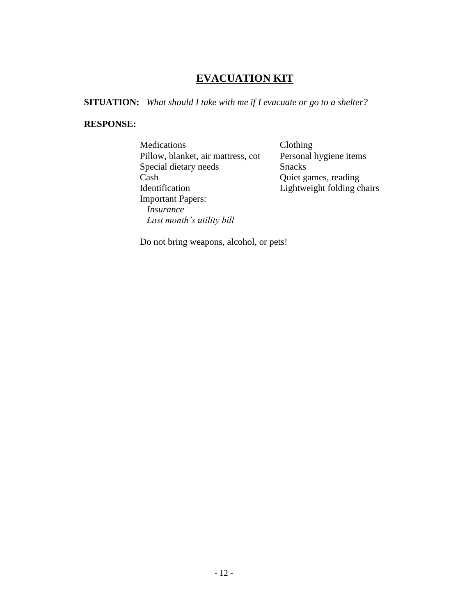# **EVACUATION KIT**

**SITUATION:** *What should I take with me if I evacuate or go to a shelter?*

#### **RESPONSE:**

Medications Clothing<br>Pillow, blanket, air mattress, cot Personal hygiene items Pillow, blanket, air mattress, cot Special dietary needs Snacks Cash Quiet games, reading Identification Lightweight folding chairs Important Papers:  *Insurance Last month's utility bill*

Do not bring weapons, alcohol, or pets!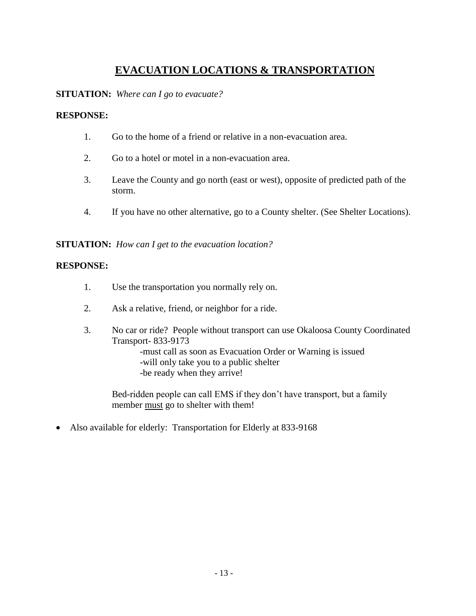# **EVACUATION LOCATIONS & TRANSPORTATION**

**SITUATION:** *Where can I go to evacuate?*

### **RESPONSE:**

- 1. Go to the home of a friend or relative in a non-evacuation area.
- 2. Go to a hotel or motel in a non-evacuation area.
- 3. Leave the County and go north (east or west), opposite of predicted path of the storm.
- 4. If you have no other alternative, go to a County shelter. (See Shelter Locations).

**SITUATION:** *How can I get to the evacuation location?*

#### **RESPONSE:**

- 1. Use the transportation you normally rely on.
- 2. Ask a relative, friend, or neighbor for a ride.
- 3. No car or ride? People without transport can use Okaloosa County Coordinated Transport- 833-9173 -must call as soon as Evacuation Order or Warning is issued -will only take you to a public shelter

-be ready when they arrive!

Bed-ridden people can call EMS if they don't have transport, but a family member must go to shelter with them!

• Also available for elderly: Transportation for Elderly at 833-9168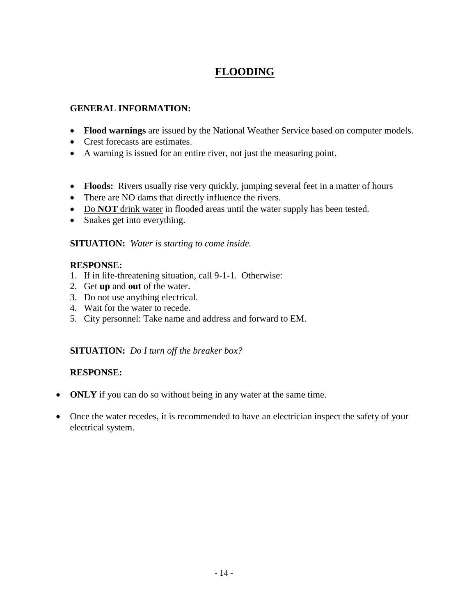# **FLOODING**

### **GENERAL INFORMATION:**

- **Flood warnings** are issued by the National Weather Service based on computer models.
- Crest forecasts are estimates.
- A warning is issued for an entire river, not just the measuring point.
- **Floods:** Rivers usually rise very quickly, jumping several feet in a matter of hours
- There are NO dams that directly influence the rivers.
- Do **NOT** drink water in flooded areas until the water supply has been tested.
- Snakes get into everything.

**SITUATION:** *Water is starting to come inside.*

### **RESPONSE:**

- 1. If in life-threatening situation, call 9-1-1. Otherwise:
- 2. Get **up** and **out** of the water.
- 3. Do not use anything electrical.
- 4. Wait for the water to recede.
- 5. City personnel: Take name and address and forward to EM.

### **SITUATION:** *Do I turn off the breaker box?*

### **RESPONSE:**

- **ONLY** if you can do so without being in any water at the same time.
- Once the water recedes, it is recommended to have an electrician inspect the safety of your electrical system.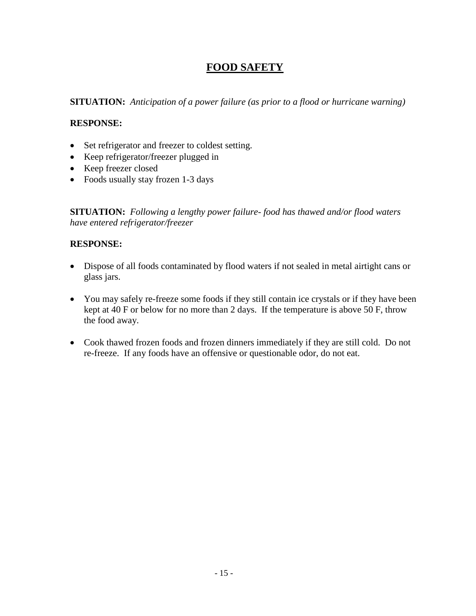# **FOOD SAFETY**

**SITUATION:** *Anticipation of a power failure (as prior to a flood or hurricane warning)*

### **RESPONSE:**

- Set refrigerator and freezer to coldest setting.
- Keep refrigerator/freezer plugged in
- Keep freezer closed
- Foods usually stay frozen 1-3 days

**SITUATION:** *Following a lengthy power failure- food has thawed and/or flood waters have entered refrigerator/freezer*

### **RESPONSE:**

- Dispose of all foods contaminated by flood waters if not sealed in metal airtight cans or glass jars.
- You may safely re-freeze some foods if they still contain ice crystals or if they have been kept at 40 F or below for no more than 2 days. If the temperature is above 50 F, throw the food away.
- Cook thawed frozen foods and frozen dinners immediately if they are still cold. Do not re-freeze. If any foods have an offensive or questionable odor, do not eat.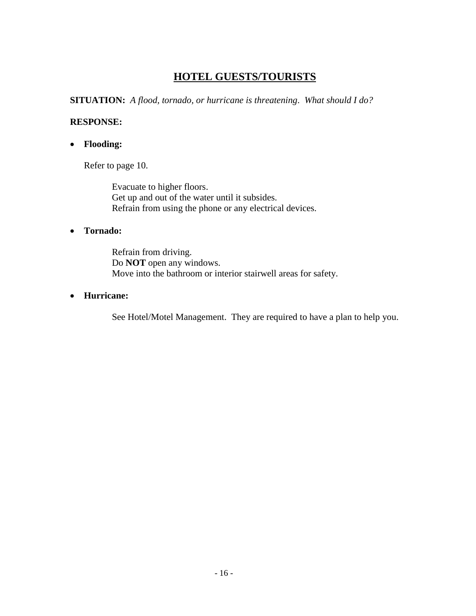### **HOTEL GUESTS/TOURISTS**

**SITUATION:** *A flood, tornado, or hurricane is threatening*. *What should I do?*

### **RESPONSE:**

**Flooding:** 

Refer to page 10.

Evacuate to higher floors. Get up and out of the water until it subsides. Refrain from using the phone or any electrical devices.

### **Tornado:**

Refrain from driving. Do **NOT** open any windows. Move into the bathroom or interior stairwell areas for safety.

### **Hurricane:**

See Hotel/Motel Management. They are required to have a plan to help you.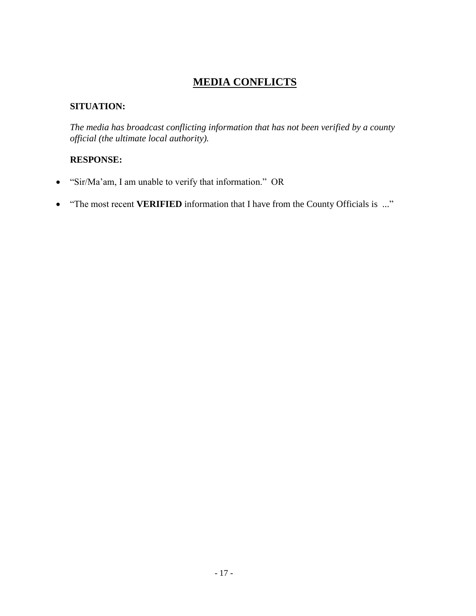# **MEDIA CONFLICTS**

### **SITUATION:**

*The media has broadcast conflicting information that has not been verified by a county official (the ultimate local authority).*

### **RESPONSE:**

- "Sir/Ma'am, I am unable to verify that information." OR
- "The most recent **VERIFIED** information that I have from the County Officials is ..."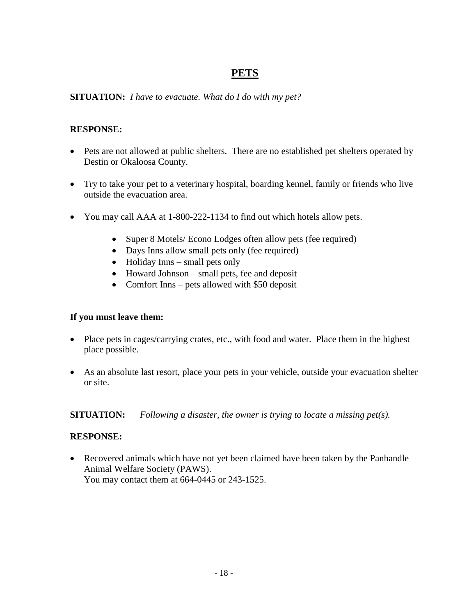### **PETS**

### **SITUATION:** *I have to evacuate. What do I do with my pet?*

### **RESPONSE:**

- Pets are not allowed at public shelters. There are no established pet shelters operated by Destin or Okaloosa County.
- Try to take your pet to a veterinary hospital, boarding kennel, family or friends who live outside the evacuation area.
- You may call AAA at 1-800-222-1134 to find out which hotels allow pets.
	- Super 8 Motels/ Econo Lodges often allow pets (fee required)
	- Days Inns allow small pets only (fee required)
	- $\bullet$  Holiday Inns small pets only
	- Howard Johnson small pets, fee and deposit
	- Comfort Inns pets allowed with \$50 deposit

### **If you must leave them:**

- Place pets in cages/carrying crates, etc., with food and water. Place them in the highest place possible.
- As an absolute last resort, place your pets in your vehicle, outside your evacuation shelter or site.

**SITUATION:** *Following a disaster, the owner is trying to locate a missing pet(s).*

### **RESPONSE:**

 Recovered animals which have not yet been claimed have been taken by the Panhandle Animal Welfare Society (PAWS). You may contact them at 664-0445 or 243-1525.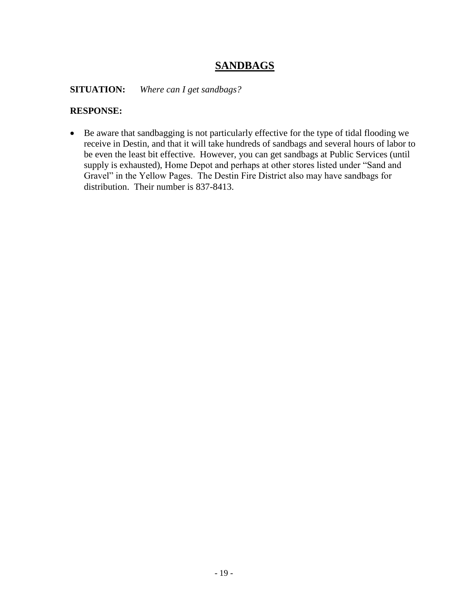### **SANDBAGS**

**SITUATION:** *Where can I get sandbags?*

### **RESPONSE:**

 Be aware that sandbagging is not particularly effective for the type of tidal flooding we receive in Destin, and that it will take hundreds of sandbags and several hours of labor to be even the least bit effective. However, you can get sandbags at Public Services (until supply is exhausted), Home Depot and perhaps at other stores listed under "Sand and Gravel" in the Yellow Pages. The Destin Fire District also may have sandbags for distribution. Their number is 837-8413.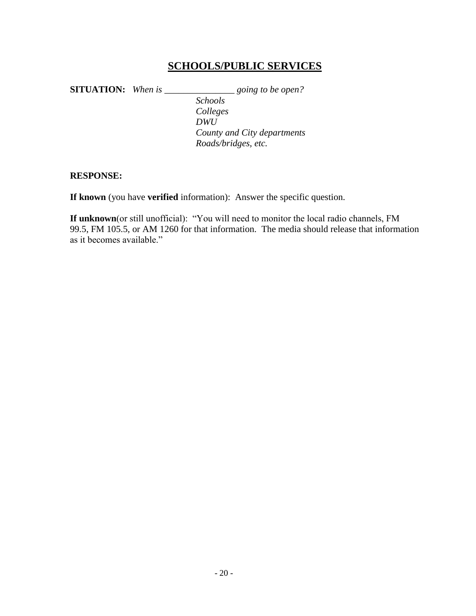### **SCHOOLS/PUBLIC SERVICES**

**SITUATION:** *When is \_\_\_\_\_\_\_\_\_\_\_\_\_\_\_ going to be open? Schools Colleges DWU County and City departments Roads/bridges, etc.*

#### **RESPONSE:**

**If known** (you have **verified** information): Answer the specific question.

**If unknown**(or still unofficial): "You will need to monitor the local radio channels, FM 99.5, FM 105.5, or AM 1260 for that information. The media should release that information as it becomes available."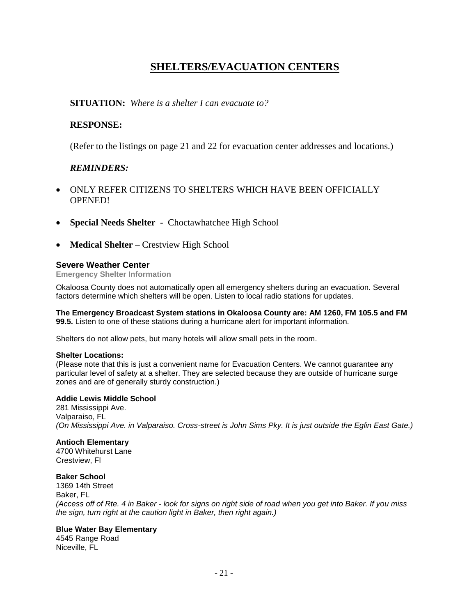# **SHELTERS/EVACUATION CENTERS**

**SITUATION:** *Where is a shelter I can evacuate to?*

### **RESPONSE:**

(Refer to the listings on page 21 and 22 for evacuation center addresses and locations.)

#### *REMINDERS:*

- ONLY REFER CITIZENS TO SHELTERS WHICH HAVE BEEN OFFICIALLY OPENED!
- **Special Needs Shelter** Choctawhatchee High School
- **Medical Shelter** Crestview High School

#### **Severe Weather Center**

**Emergency Shelter Information**

Okaloosa County does not automatically open all emergency shelters during an evacuation. Several factors determine which shelters will be open. Listen to local radio stations for updates.

#### **The Emergency Broadcast System stations in Okaloosa County are: AM 1260, FM 105.5 and FM 99.5.** Listen to one of these stations during a hurricane alert for important information.

Shelters do not allow pets, but many hotels will allow small pets in the room.

#### **Shelter Locations:**

(Please note that this is just a convenient name for Evacuation Centers. We cannot guarantee any particular level of safety at a shelter. They are selected because they are outside of hurricane surge zones and are of generally sturdy construction.)

#### **Addie Lewis Middle School**

281 Mississippi Ave. Valparaiso, FL *(On Mississippi Ave. in Valparaiso. Cross-street is John Sims Pky. It is just outside the Eglin East Gate.)*

#### **Antioch Elementary**

4700 Whitehurst Lane Crestview, Fl

#### **Baker School**

1369 14th Street Baker, FL *(Access off of Rte. 4 in Baker - look for signs on right side of road when you get into Baker. If you miss the sign, turn right at the caution light in Baker, then right again.)*

#### **Blue Water Bay Elementary**

4545 Range Road Niceville, FL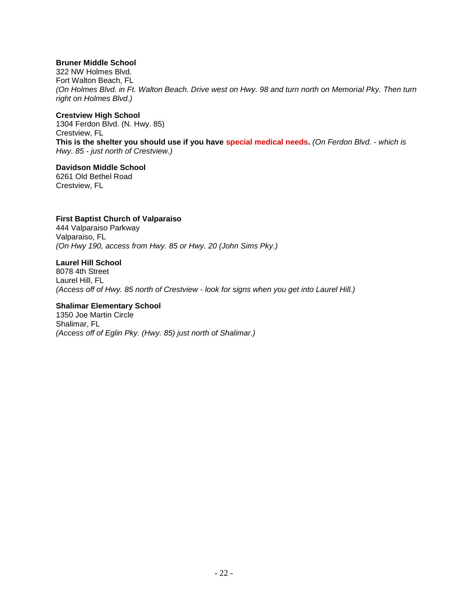#### **Bruner Middle School**

322 NW Holmes Blvd. Fort Walton Beach, FL *(On Holmes Blvd. in Ft. Walton Beach. Drive west on Hwy. 98 and turn north on Memorial Pky. Then turn right on Holmes Blvd.)*

#### **Crestview High School**

1304 Ferdon Blvd. (N. Hwy. 85) Crestview, FL **This is the shelter you should use if you have special medical needs.** *(On Ferdon Blvd. - which is Hwy. 85 - just north of Crestview.)*

### **Davidson Middle School**

6261 Old Bethel Road Crestview, FL

#### **First Baptist Church of Valparaiso**

444 Valparaiso Parkway Valparaiso, FL *(On Hwy 190, access from Hwy. 85 or Hwy. 20 (John Sims Pky.)*

#### **Laurel Hill School**

8078 4th Street Laurel Hill, FL *(Access off of Hwy. 85 north of Crestview - look for signs when you get into Laurel Hill.)*

#### **Shalimar Elementary School**

1350 Joe Martin Circle Shalimar, FL *(Access off of Eglin Pky. (Hwy. 85) just north of Shalimar.)*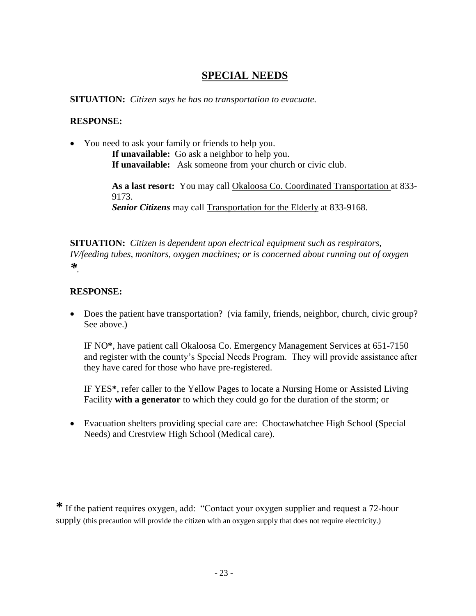### **SPECIAL NEEDS**

**SITUATION:** *Citizen says he has no transportation to evacuate.*

#### **RESPONSE:**

• You need to ask your family or friends to help you. **If unavailable:** Go ask a neighbor to help you. **If unavailable:** Ask someone from your church or civic club.

> **As a last resort:** You may call Okaloosa Co. Coordinated Transportation at 833- 9173. *Senior Citizens* may call Transportation for the Elderly at 833-9168.

**SITUATION:** *Citizen is dependent upon electrical equipment such as respirators, IV/feeding tubes, monitors, oxygen machines; or is concerned about running out of oxygen \*.*

### **RESPONSE:**

 Does the patient have transportation? (via family, friends, neighbor, church, civic group? See above.)

IF NO**\***, have patient call Okaloosa Co. Emergency Management Services at 651-7150 and register with the county's Special Needs Program. They will provide assistance after they have cared for those who have pre-registered.

IF YES**\***, refer caller to the Yellow Pages to locate a Nursing Home or Assisted Living Facility **with a generator** to which they could go for the duration of the storm; or

 Evacuation shelters providing special care are: Choctawhatchee High School (Special Needs) and Crestview High School (Medical care).

**\*** If the patient requires oxygen, add: "Contact your oxygen supplier and request a 72-hour supply (this precaution will provide the citizen with an oxygen supply that does not require electricity.)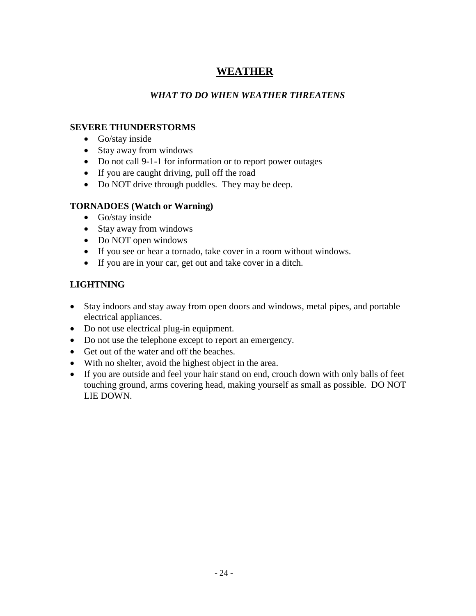# **WEATHER**

### *WHAT TO DO WHEN WEATHER THREATENS*

### **SEVERE THUNDERSTORMS**

- Go/stay inside
- Stay away from windows
- Do not call 9-1-1 for information or to report power outages
- If you are caught driving, pull off the road
- Do NOT drive through puddles. They may be deep.

### **TORNADOES (Watch or Warning)**

- Go/stay inside
- Stay away from windows
- Do NOT open windows
- If you see or hear a tornado, take cover in a room without windows.
- If you are in your car, get out and take cover in a ditch.

### **LIGHTNING**

- Stay indoors and stay away from open doors and windows, metal pipes, and portable electrical appliances.
- Do not use electrical plug-in equipment.
- Do not use the telephone except to report an emergency.
- Get out of the water and off the beaches.
- With no shelter, avoid the highest object in the area.
- If you are outside and feel your hair stand on end, crouch down with only balls of feet touching ground, arms covering head, making yourself as small as possible. DO NOT LIE DOWN.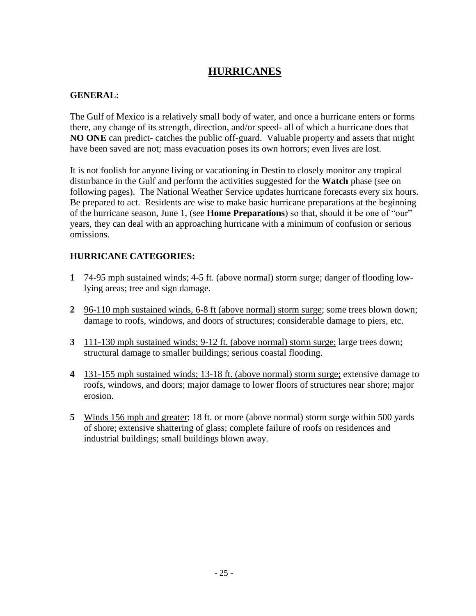### **HURRICANES**

### **GENERAL:**

The Gulf of Mexico is a relatively small body of water, and once a hurricane enters or forms there, any change of its strength, direction, and/or speed- all of which a hurricane does that **NO ONE** can predict- catches the public off-guard. Valuable property and assets that might have been saved are not; mass evacuation poses its own horrors; even lives are lost.

It is not foolish for anyone living or vacationing in Destin to closely monitor any tropical disturbance in the Gulf and perform the activities suggested for the **Watch** phase (see on following pages). The National Weather Service updates hurricane forecasts every six hours. Be prepared to act. Residents are wise to make basic hurricane preparations at the beginning of the hurricane season, June 1, (see **Home Preparations**) so that, should it be one of "our" years, they can deal with an approaching hurricane with a minimum of confusion or serious omissions.

### **HURRICANE CATEGORIES:**

- **1** 74-95 mph sustained winds; 4-5 ft. (above normal) storm surge; danger of flooding lowlying areas; tree and sign damage.
- **2** 96-110 mph sustained winds, 6-8 ft (above normal) storm surge; some trees blown down; damage to roofs, windows, and doors of structures; considerable damage to piers, etc.
- **3** 111-130 mph sustained winds; 9-12 ft. (above normal) storm surge; large trees down; structural damage to smaller buildings; serious coastal flooding.
- **4** 131-155 mph sustained winds; 13-18 ft. (above normal) storm surge; extensive damage to roofs, windows, and doors; major damage to lower floors of structures near shore; major erosion.
- **5** Winds 156 mph and greater; 18 ft. or more (above normal) storm surge within 500 yards of shore; extensive shattering of glass; complete failure of roofs on residences and industrial buildings; small buildings blown away.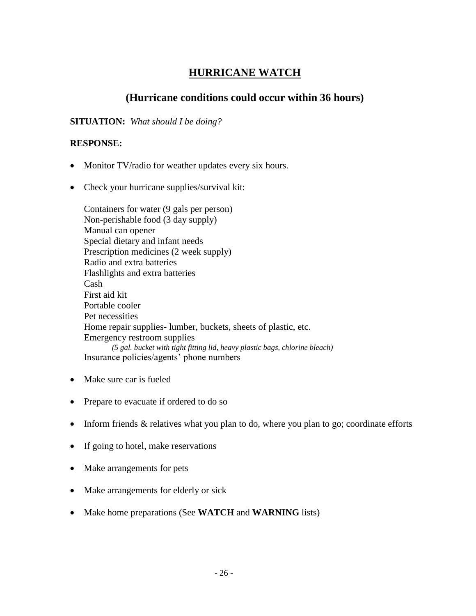# **HURRICANE WATCH**

### **(Hurricane conditions could occur within 36 hours)**

**SITUATION:** *What should I be doing?*

### **RESPONSE:**

- Monitor TV/radio for weather updates every six hours.
- Check your hurricane supplies/survival kit:

Containers for water (9 gals per person) Non-perishable food (3 day supply) Manual can opener Special dietary and infant needs Prescription medicines (2 week supply) Radio and extra batteries Flashlights and extra batteries Cash First aid kit Portable cooler Pet necessities Home repair supplies- lumber, buckets, sheets of plastic, etc. Emergency restroom supplies *(5 gal. bucket with tight fitting lid, heavy plastic bags, chlorine bleach)* Insurance policies/agents' phone numbers

- Make sure car is fueled
- Prepare to evacuate if ordered to do so
- Inform friends  $&$  relatives what you plan to do, where you plan to go; coordinate efforts
- If going to hotel, make reservations
- Make arrangements for pets
- Make arrangements for elderly or sick
- Make home preparations (See **WATCH** and **WARNING** lists)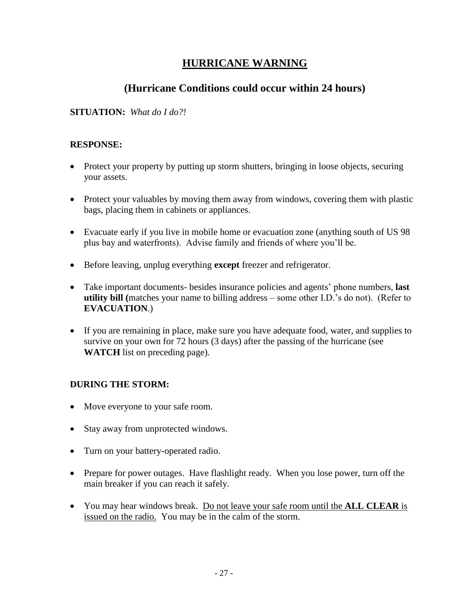# **HURRICANE WARNING**

### **(Hurricane Conditions could occur within 24 hours)**

### **SITUATION:** *What do I do?!*

### **RESPONSE:**

- Protect your property by putting up storm shutters, bringing in loose objects, securing your assets.
- Protect your valuables by moving them away from windows, covering them with plastic bags, placing them in cabinets or appliances.
- Evacuate early if you live in mobile home or evacuation zone (anything south of US 98 plus bay and waterfronts). Advise family and friends of where you'll be.
- Before leaving, unplug everything **except** freezer and refrigerator.
- Take important documents- besides insurance policies and agents' phone numbers, **last utility bill (**matches your name to billing address – some other I.D.'s do not). (Refer to **EVACUATION**.)
- If you are remaining in place, make sure you have adequate food, water, and supplies to survive on your own for 72 hours (3 days) after the passing of the hurricane (see **WATCH** list on preceding page).

### **DURING THE STORM:**

- Move everyone to your safe room.
- Stay away from unprotected windows.
- Turn on your battery-operated radio.
- Prepare for power outages. Have flashlight ready. When you lose power, turn off the main breaker if you can reach it safely.
- You may hear windows break. Do not leave your safe room until the **ALL CLEAR** is issued on the radio. You may be in the calm of the storm.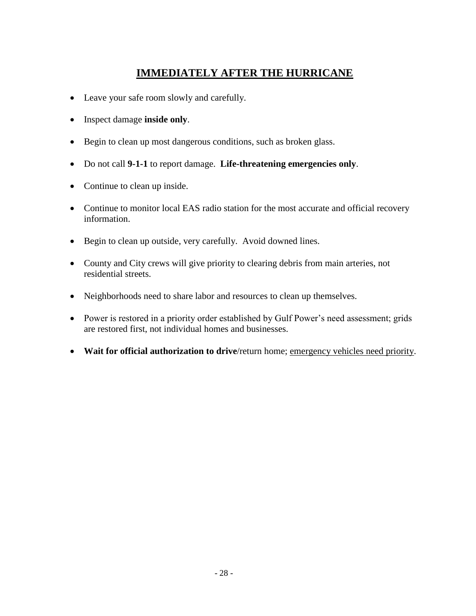# **IMMEDIATELY AFTER THE HURRICANE**

- Leave your safe room slowly and carefully.
- Inspect damage **inside only**.
- Begin to clean up most dangerous conditions, such as broken glass.
- Do not call **9-1-1** to report damage. **Life-threatening emergencies only**.
- Continue to clean up inside.
- Continue to monitor local EAS radio station for the most accurate and official recovery information.
- Begin to clean up outside, very carefully. Avoid downed lines.
- County and City crews will give priority to clearing debris from main arteries, not residential streets.
- Neighborhoods need to share labor and resources to clean up themselves.
- Power is restored in a priority order established by Gulf Power's need assessment; grids are restored first, not individual homes and businesses.
- **Wait for official authorization to drive**/return home; emergency vehicles need priority.